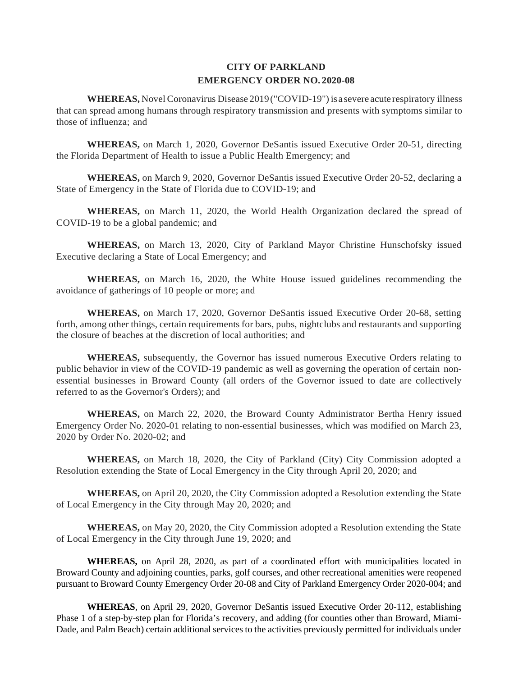# **EMERGENCY ORDER NO. 2020-08 CITY OF PARKLAND**

 **WHEREAS,** Novel Coronavirus Disease 2019("COVID-19") isa severe acute respiratory illness that can spread among humans through respiratory transmission and presents with symptoms similar to those of influenza; and

 **WHEREAS,** on March 1, 2020, Governor DeSantis issued Executive Order 20-51, directing the Florida Department of Health to issue a Public Health Emergency; and

 State of Emergency in the State of Florida due to COVID-19; and **WHEREAS,** on March 9, 2020, Governor DeSantis issued Executive Order 20-52, declaring a

 **WHEREAS,** on March 11, 2020, the World Health Organization declared the spread of COVID-19 to be a global pandemic; and

**WHEREAS,** on March 13, 2020, City of Parkland Mayor Christine Hunschofsky issued Executive declaring a State of Local Emergency; and

 avoidance of gatherings of 10 people or more; and **WHEREAS,** on March 16, 2020, the White House issued guidelines recommending the

**WHEREAS,** on March 17, 2020, Governor DeSantis issued Executive Order 20-68, setting forth, among other things, certain requirements for bars, pubs, nightclubs and restaurants and supporting the closure of beaches at the discretion of local authorities; and

 public behavior in view of the COVID-19 pandemic as well as governing the operation of certain non- essential businesses in Broward County (all orders of the Governor issued to date are collectively **WHEREAS,** subsequently, the Governor has issued numerous Executive Orders relating to referred to as the Governor's Orders); and

**WHEREAS,** on March 22, 2020, the Broward County Administrator Bertha Henry issued Emergency Order No. 2020-01 relating to non-essential businesses, which was modified on March 23, 2020 by Order No. 2020-02; and

 **WHEREAS,** on March 18, 2020, the City of Parkland (City) City Commission adopted a Resolution extending the State of Local Emergency in the City through April 20, 2020; and

 **WHEREAS,** on April 20, 2020, the City Commission adopted a Resolution extending the State of Local Emergency in the City through May 20, 2020; and

 **WHEREAS,** on May 20, 2020, the City Commission adopted a Resolution extending the State of Local Emergency in the City through June 19, 2020; and

**WHEREAS,** on April 28, 2020, as part of a coordinated effort with municipalities located in Broward County and adjoining counties, parks, golf courses, and other recreational amenities were reopened pursuant to Broward County Emergency Order 20-08 and City of Parkland Emergency Order 2020-004; and

 Dade, and Palm Beach) certain additional services to the activities previously permitted for individuals under **WHEREAS**, on April 29, 2020, Governor DeSantis issued Executive Order 20-112, establishing Phase 1 of a step-by-step plan for Florida's recovery, and adding (for counties other than Broward, Miami-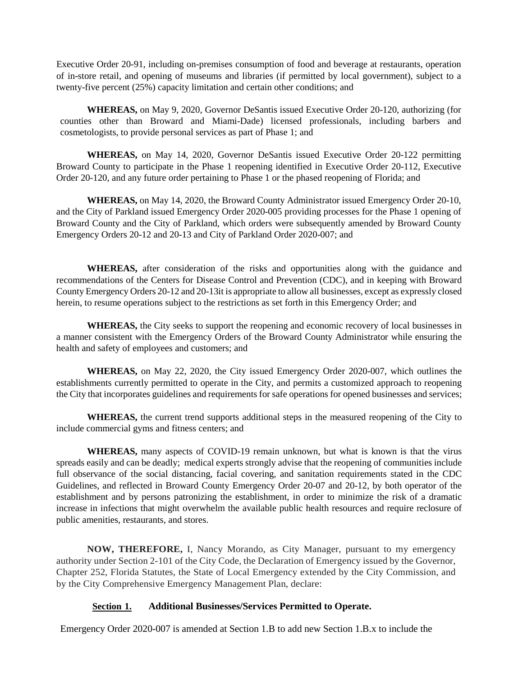Executive Order 20-91, including on-premises consumption of food and beverage at restaurants, operation twenty-five percent (25%) capacity limitation and certain other conditions; and of in-store retail, and opening of museums and libraries (if permitted by local government), subject to a

**WHEREAS,** on May 9, 2020, Governor DeSantis issued Executive Order 20-120, authorizing (for counties other than Broward and Miami-Dade) licensed professionals, including barbers and cosmetologists, to provide personal services as part of Phase 1; and

**WHEREAS,** on May 14, 2020, Governor DeSantis issued Executive Order 20-122 permitting Broward County to participate in the Phase 1 reopening identified in Executive Order 20-112, Executive Order 20-120, and any future order pertaining to Phase 1 or the phased reopening of Florida; and

 and the City of Parkland issued Emergency Order 2020-005 providing processes for the Phase 1 opening of Emergency Orders 20-12 and 20-13 and City of Parkland Order 2020-007; and **WHEREAS,** on May 14, 2020, the Broward County Administrator issued Emergency Order 20-10, Broward County and the City of Parkland, which orders were subsequently amended by Broward County

 **WHEREAS,** after consideration of the risks and opportunities along with the guidance and recommendations of the Centers for Disease Control and Prevention (CDC), and in keeping with Broward County Emergency Orders 20-12 and 20-13it is appropriate to allow all businesses, except as expressly closed herein, to resume operations subject to the restrictions as set forth in this Emergency Order; and

 **WHEREAS,** the City seeks to support the reopening and economic recovery of local businesses in a manner consistent with the Emergency Orders of the Broward County Administrator while ensuring the health and safety of employees and customers; and

 **WHEREAS,** on May 22, 2020, the City issued Emergency Order 2020-007, which outlines the the City that incorporates guidelines and requirements for safe operations for opened businesses and services; establishments currently permitted to operate in the City, and permits a customized approach to reopening

 include commercial gyms and fitness centers; and **WHEREAS,** the current trend supports additional steps in the measured reopening of the City to

 spreads easily and can be deadly; medical experts strongly advise that the reopening of communities include full observance of the social distancing, facial covering, and sanitation requirements stated in the CDC establishment and by persons patronizing the establishment, in order to minimize the risk of a dramatic **WHEREAS,** many aspects of COVID-19 remain unknown, but what is known is that the virus Guidelines, and reflected in Broward County Emergency Order 20-07 and 20-12, by both operator of the increase in infections that might overwhelm the available public health resources and require reclosure of public amenities, restaurants, and stores.

 **NOW, THEREFORE,** I, Nancy Morando, as City Manager, pursuant to my emergency authority under Section 2-101 of the City Code, the Declaration of Emergency issued by the Governor, Chapter 252, Florida Statutes, the State of Local Emergency extended by the City Commission, and by the City Comprehensive Emergency Management Plan, declare:

#### **Section 1. Section 1. Additional Businesses/Services Permitted to Operate.**

Emergency Order 2020-007 is amended at Section 1.B to add new Section 1.B.x to include the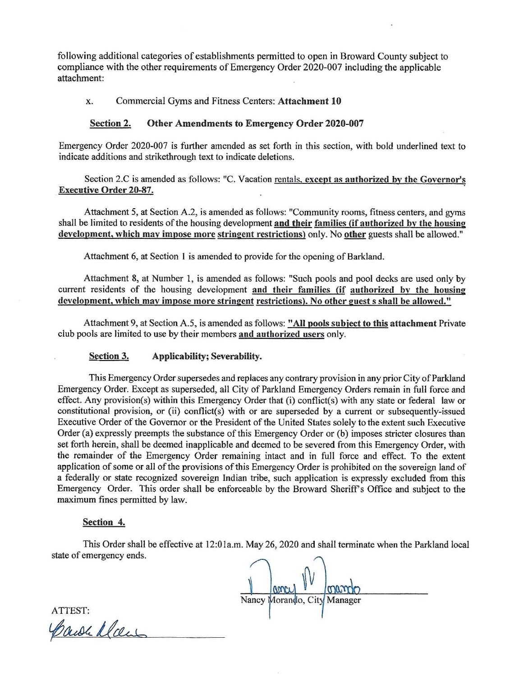following additional categories of establishments permitted to open in Broward County subject to compliance with the other requirements of Emergency Order 2020-007 including the applicable attachment:

## x. Commercial Gyms and Fitness Centers: **Attachment 10**

### **Section 2. Other Amendments to Emergency Order 2020-007**

Emergency Order 2020-007 is further amended as set forth in this section, with bold underlined text to indicate additions and strikethrough text to indicate deletions.

Section 2.C is amended as follows: "C. Vacation rentals, except as authorized by the Governor's **Executive Order 20-87.** 

Attachment 5, at Section A.2, is amended as follows: "Community rooms, fitness centers, and gyms shall be limited to residents of the housing development and their families (if authorized by the housing **development. which mav impose more stringent restrictions)** only. No **other** guests shall be allowed."

Attachment 6, at Section 1 is amended to provide for the opening of Barkland.

Attachment 8, at Number 1, is amended as follows: "Such pools and pool decks are used only by current residents of the housing development and their families (if authorized by the housing **development, which mav impose more stringent restrictions). No other guests shall be allowed."** 

Attachment 9, at Section A.5, is amended as follows: **"All pools subject to this attachment** Private club pools are limited to use by their members **and authorized users** only.

#### **Section 3. Applicability; Severability.**

This Emergency Order supersedes and replaces any contrary provision in any prior City of Parkland Emergency Order. Except as superseded, all City of Parkland Emergency Orders remain in full force and effect. Any provision(s) within this Emergency Order that (i) conflict(s) with any state or federal law or constitutional provision, or (ii) conflict(s) with or are superseded by a current or subsequently-issued Executive Order of the Governor or the President of the United States solely to the extent such Executive Order (a) expressly preempts the substance of this Emergency Order or (b) imposes stricter closures than set forth herein, shall be deemed inapplicable and deemed to be severed from this Emergency Order, with the remainder of the Emergency Order remaining intact and in full force and effect. To the extent application of some or all of the provisions of this Emergency Order is prohibited on the sovereign land of a federally or state recognized sovereign Indian tribe, such application is expressly excluded from this Emergency Order. This order shall be enforceable by the Broward Sheriff's Office and subject to the maximum fines permitted by law.

#### **Section 4.**

This Order shall be effective at 12:0la.m. May 26, 2020 and shall terminate when the Parkland local state of emergency ends.

Nancy Morando, City Manager

ATTEST:

Carole Man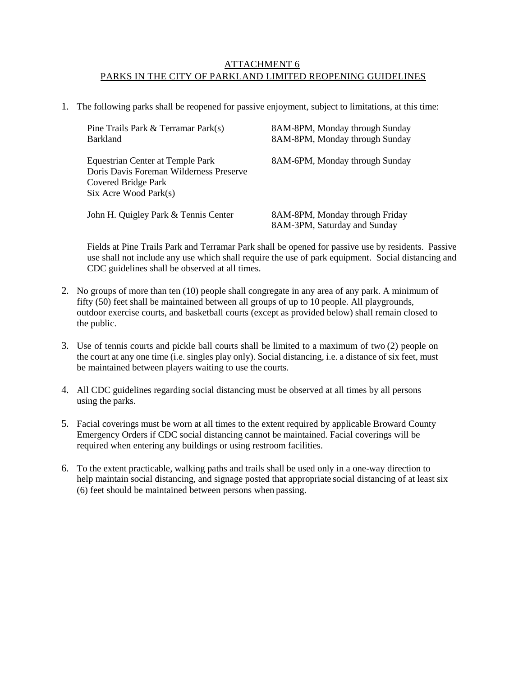## ATTACHMENT 6 PARKS IN THE CITY OF PARKLAND LIMITED REOPENING GUIDELINES

1. The following parks shall be reopened for passive enjoyment, subject to limitations, at this time:

| Pine Trails Park & Terramar Park(s)<br><b>Barkland</b>                                                                           | 8AM-8PM, Monday through Sunday<br>8AM-8PM, Monday through Sunday |
|----------------------------------------------------------------------------------------------------------------------------------|------------------------------------------------------------------|
| Equestrian Center at Temple Park<br>Doris Davis Foreman Wilderness Preserve<br>Covered Bridge Park<br>$Six$ Acre Wood Park $(s)$ | 8AM-6PM, Monday through Sunday                                   |
| John H. Quigley Park & Tennis Center                                                                                             | 8AM-8PM, Monday through Friday<br>8AM-3PM, Saturday and Sunday   |

 Fields at Pine Trails Park and Terramar Park shall be opened for passive use by residents. Passive use shall not include any use which shall require the use of park equipment. Social distancing and CDC guidelines shall be observed at all times.

- fifty (50) feet shall be maintained between all groups of up to 10 people. All playgrounds, outdoor exercise courts, and basketball courts (except as provided below) shall remain closed to the public. 2. No groups of more than ten (10) people shall congregate in any area of any park. A minimum of
- be maintained between players waiting to use the courts. 3. Use of tennis courts and pickle ball courts shall be limited to a maximum of two (2) people on the court at any one time (i.e. singles play only). Social distancing, i.e. a distance of six feet, must
- using the parks. 4. All CDC guidelines regarding social distancing must be observed at all times by all persons
- required when entering any buildings or using restroom facilities. 5. Facial coverings must be worn at all times to the extent required by applicable Broward County Emergency Orders if CDC social distancing cannot be maintained. Facial coverings will be
- (6) feet should be maintained between persons when passing. 6. To the extent practicable, walking paths and trails shall be used only in a one-way direction to help maintain social distancing, and signage posted that appropriate social distancing of at least six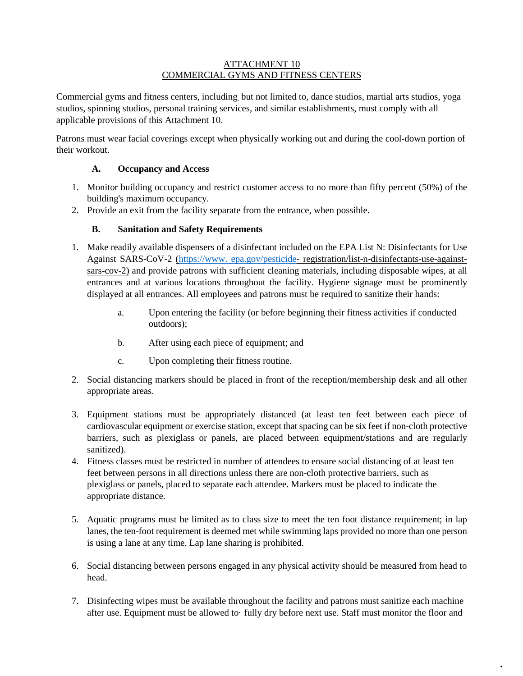## ATTACHMENT 10 COMMERCIAL GYMS AND FITNESS CENTERS

 Commercial gyms and fitness centers, including, but not limited to, dance studios, martial arts studios, yoga applicable provisions of this Attachment 10. studios, spinning studios, personal training services, and similar establishments, must comply with all

Patrons must wear facial coverings except when physically working out and during the cool-down portion of their workout.

# **A. Occupancy and Access**

- 1. Monitor building occupancy and restrict customer access to no more than fifty percent (50%) of the building's maximum occupancy.
- 2. Provide an exit from the facility separate from the entrance, when possible.

# **B. Sanitation and Safety Requirements**

- entrances and at various locations throughout the facility. Hygiene signage must be prominently 1. Make readily available dispensers of a disinfectant included on the EPA List N: Disinfectants for Use Against SARS-CoV-2 [\(https://www. epa.gov/pesticide-](https://www.epa.gov/pesticide) registration/list-n-disinfectants-use-againstsars-cov-2) and provide patrons with sufficient cleaning materials, including disposable wipes, at all displayed at all entrances. All employees and patrons must be required to sanitize their hands:
	- a. Upon entering the facility (or before beginning their fitness activities if conducted outdoors);
	- b. After using each piece of equipment; and
	- c. Upon completing their fitness routine.
- 2. Social distancing markers should be placed in front of the reception/membership desk and all other appropriate areas.
- 3. Equipment stations must be appropriately distanced (at least ten feet between each piece of cardiovascular equipment or exercise station, except that spacing can be six feet if non-cloth protective barriers, such as plexiglass or panels, are placed between equipment/stations and are regularly sanitized).
- 4. Fitness classes must be restricted in number of attendees to ensure social distancing of at least ten feet between persons in all directions unless there are non-cloth protective barriers, such as plexiglass or panels, placed to separate each attendee. Markers must be placed to indicate the appropriate distance.
- 5. Aquatic programs must be limited as to class size to meet the ten foot distance requirement; in lap lanes, the ten-foot requirement is deemed met while swimming laps provided no more than one person is using a lane at any time. Lap lane sharing is prohibited.
- 6. Social distancing between persons engaged in any physical activity should be measured from head to head.
- 7. Disinfecting wipes must be available throughout the facility and patrons must sanitize each machine after use. Equipment must be allowed to· fully dry before next use. Staff must monitor the floor and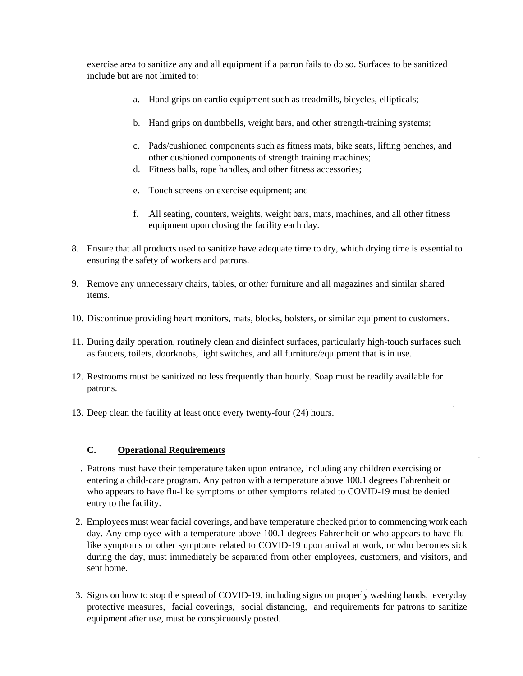exercise area to sanitize any and all equipment if a patron fails to do so. Surfaces to be sanitized include but are not limited to:

- a. Hand grips on cardio equipment such as treadmills, bicycles, ellipticals;
- b. Hand grips on dumbbells, weight bars, and other strength-training systems;
- other cushioned components of strength training machines; c. Pads/cushioned components such as fitness mats, bike seats, lifting benches, and
- d. Fitness balls, rope handles, and other fitness accessories;
- e. Touch screens on exercise equipment; and
- f. All seating, counters, weights, weight bars, mats, machines, and all other fitness equipment upon closing the facility each day.
- 8. Ensure that all products used to sanitize have adequate time to dry, which drying time is essential to ensuring the safety of workers and patrons.
- 9. Remove any unnecessary chairs, tables, or other furniture and all magazines and similar shared items.
- 10. Discontinue providing heart monitors, mats, blocks, bolsters, or similar equipment to customers.
- as faucets, toilets, doorknobs, light switches, and all furniture/equipment that is in use. 11. During daily operation, routinely clean and disinfect surfaces, particularly high-touch surfaces such
- 12. Restrooms must be sanitized no less frequently than hourly. Soap must be readily available for patrons.
- 13. Deep clean the facility at least once every twenty-four (24) hours.

# **C. Operational Requirements**

- 1. Patrons must have their temperature taken upon entrance, including any children exercising or entering a child-care program. Any patron with a temperature above 100.1 degrees Fahrenheit or who appears to have flu-like symptoms or other symptoms related to COVID-19 must be denied entry to the facility.
- 2. Employees must wear facial coverings, and have temperature checked prior to commencing work each day. Any employee with a temperature above 100.1 degrees Fahrenheit or who appears to have flulike symptoms or other symptoms related to COVID-19 upon arrival at work, or who becomes sick during the day, must immediately be separated from other employees, customers, and visitors, and sent home.
- protective measures, facial coverings, social distancing, and requirements for patrons to sanitize 3. Signs on how to stop the spread of COVID-19, including signs on properly washing hands, everyday equipment after use, must be conspicuously posted.